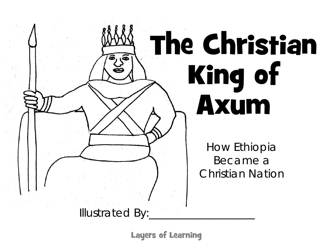

Layers of Learning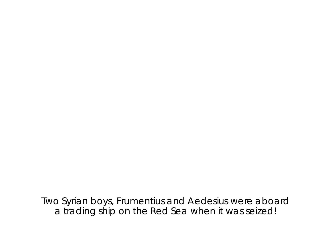Two Syrian boys, Frumentius and Aedesius were aboard a trading ship on the Red Sea when it was seized!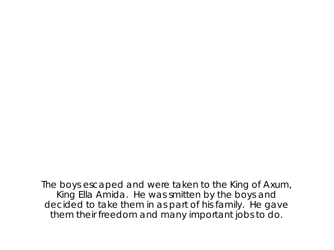The boys escaped and were taken to the King of Axum, King Ella Amida. He was smitten by the boys and decided to take them in as part of his family. He gave them their freedom and many important jobs to do.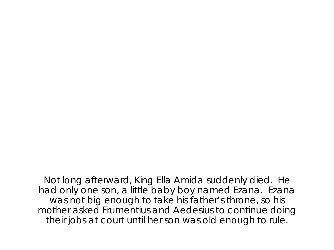Not long afterward, King Ella Amida suddenly died. He had only one son, a little baby boy named Ezana. Ezana was not big enough to take his father's throne, so his mother asked Frumentius and Aedesius to continue doing their jobs at court until her son was old enough to rule.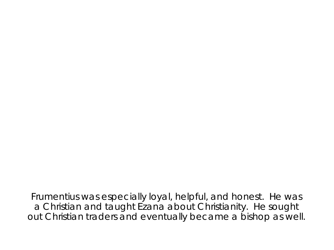Frumentius was especially loyal, helpful, and honest. He was a Christian and taught Ezana about Christianity. He sought out Christian traders and eventually became a bishop as well.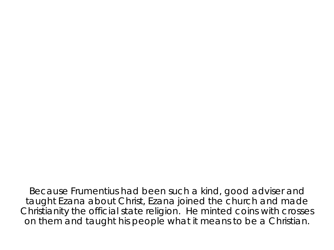Because Frumentius had been such a kind, good adviser and taught Ezana about Christ, Ezana joined the church and made Christianity the official state religion. He minted coins with crosses on them and taught his people what it means to be a Christian.